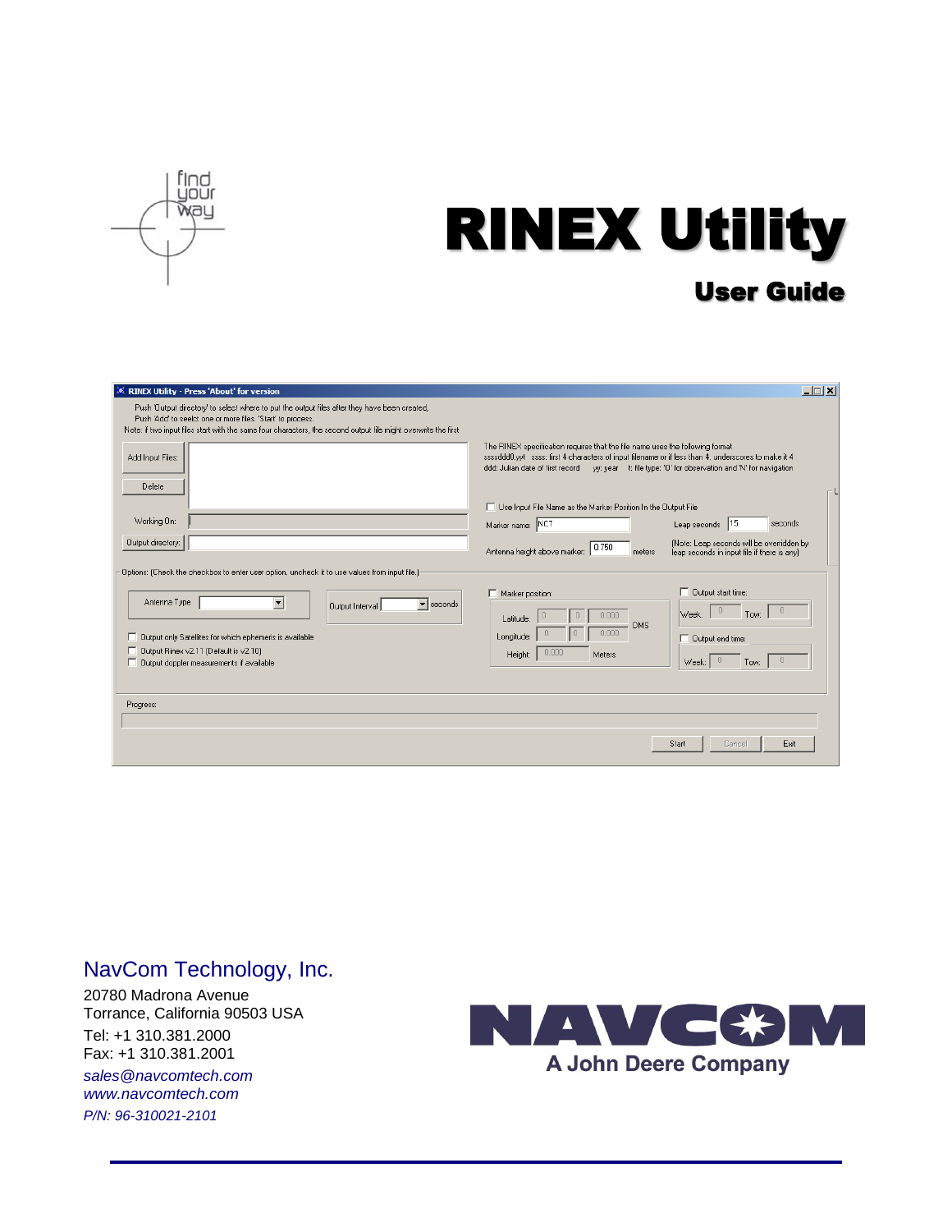

# RINEX Utility User Guide

| <b>RINEX Utility - Press 'About' for version</b><br>Push 'Output directory' to select where to put the output files after they have been created,<br>Push 'Add' to seelct one or more files. 'Start' to process.                                                                                                        | $   $ $\times$ $ $                                                                                                                                                                                                                                                                         |
|-------------------------------------------------------------------------------------------------------------------------------------------------------------------------------------------------------------------------------------------------------------------------------------------------------------------------|--------------------------------------------------------------------------------------------------------------------------------------------------------------------------------------------------------------------------------------------------------------------------------------------|
| Note: if two input files start with the same four characters, the second output file might overwrite the first<br>Add Input Files:<br>Delete                                                                                                                                                                            | The RINEX specification requires that the file name uses the following format<br>ssssddd0.yyt ssss: first 4 characters of input filename or if less than 4, underscores to make it 4<br>ddd: Julian date of first record vv: vear t; file type: 'O' for observation and 'N' for navigation |
| Working On:                                                                                                                                                                                                                                                                                                             | Use Input File Name as the Marker Position In the Output File                                                                                                                                                                                                                              |
|                                                                                                                                                                                                                                                                                                                         | 15<br>Marker name: NCT<br>seconds<br>Leap seconds                                                                                                                                                                                                                                          |
| Output directory:                                                                                                                                                                                                                                                                                                       | (Note: Leap seconds will be overridden by<br>0.750<br>Antenna height above marker:<br>meters<br>leap seconds in input file if there is any)                                                                                                                                                |
| Options: (Check the checkbox to enter user option, uncheck it to use values from input file.)<br>Antenna Type<br>$\blacktriangleright$ seconds<br>Output Interval<br>□ Output only Satellites for which ephemeris is available<br>□ Output Rinex v2.11 (Default is v2.10)<br>□ Output doppler measurements if available | $\Box$ Output start time:<br>Marker position:<br>Week:<br>Tow:<br>0.000<br>Latitude:<br><b>DMS</b><br>$n$ nnn<br>Longitude:<br>Output end time:<br>0.000<br>Height:<br>Meters<br>Week:<br>Tow:                                                                                             |
| Progress:                                                                                                                                                                                                                                                                                                               |                                                                                                                                                                                                                                                                                            |
|                                                                                                                                                                                                                                                                                                                         |                                                                                                                                                                                                                                                                                            |
|                                                                                                                                                                                                                                                                                                                         | Exit<br>Start<br>Cancel                                                                                                                                                                                                                                                                    |

## NavCom Technology, Inc.

20780 Madrona Avenue Torrance, California 90503 USA

Tel: +1 310.381.2000 Fax: +1 310.381.2001

*[sales@navcomtech.com](mailto:sales@navcomtech.com) [www.navcomtech.com](http://www.navcomtech.com/) P/N: 96-310021-2101*

 $\blacksquare$ **TANT**  $\blacktriangle$ A John Deere Company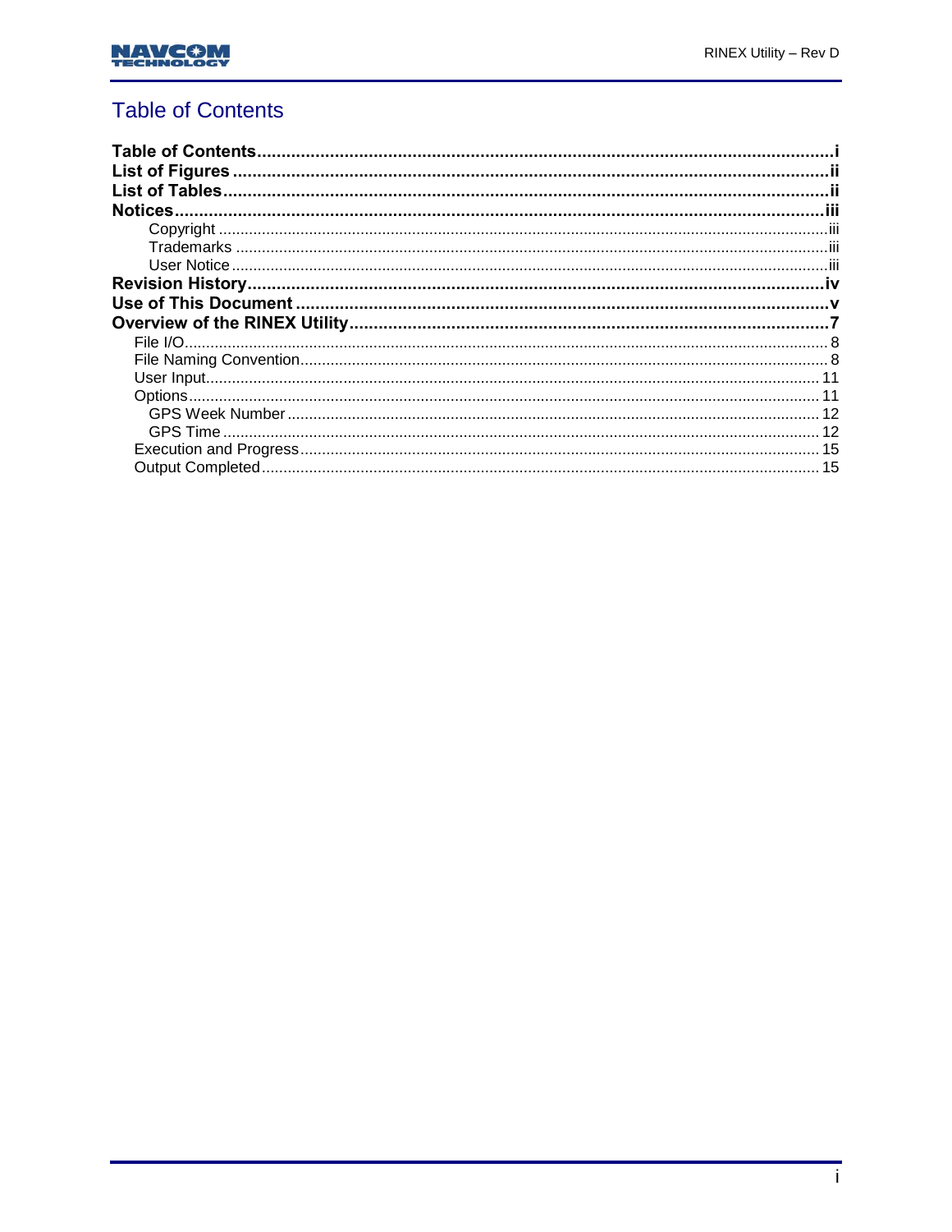

## <span id="page-1-0"></span>**Table of Contents**

| <b>List of Figures</b> |  |
|------------------------|--|
|                        |  |
| Notices.               |  |
|                        |  |
|                        |  |
|                        |  |
|                        |  |
|                        |  |
|                        |  |
|                        |  |
|                        |  |
|                        |  |
|                        |  |
|                        |  |
|                        |  |
|                        |  |
|                        |  |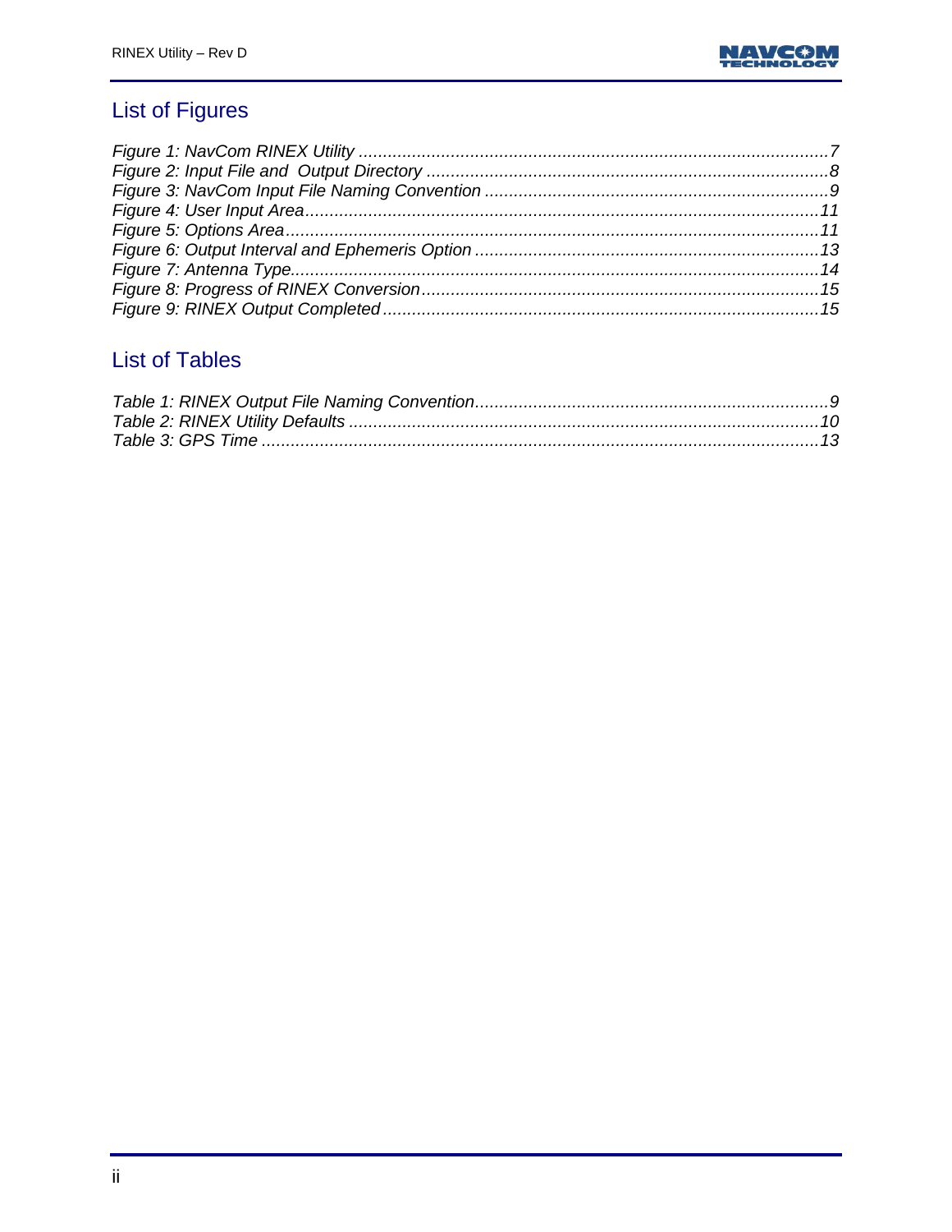# <span id="page-2-0"></span>**List of Figures**

## <span id="page-2-1"></span>**List of Tables**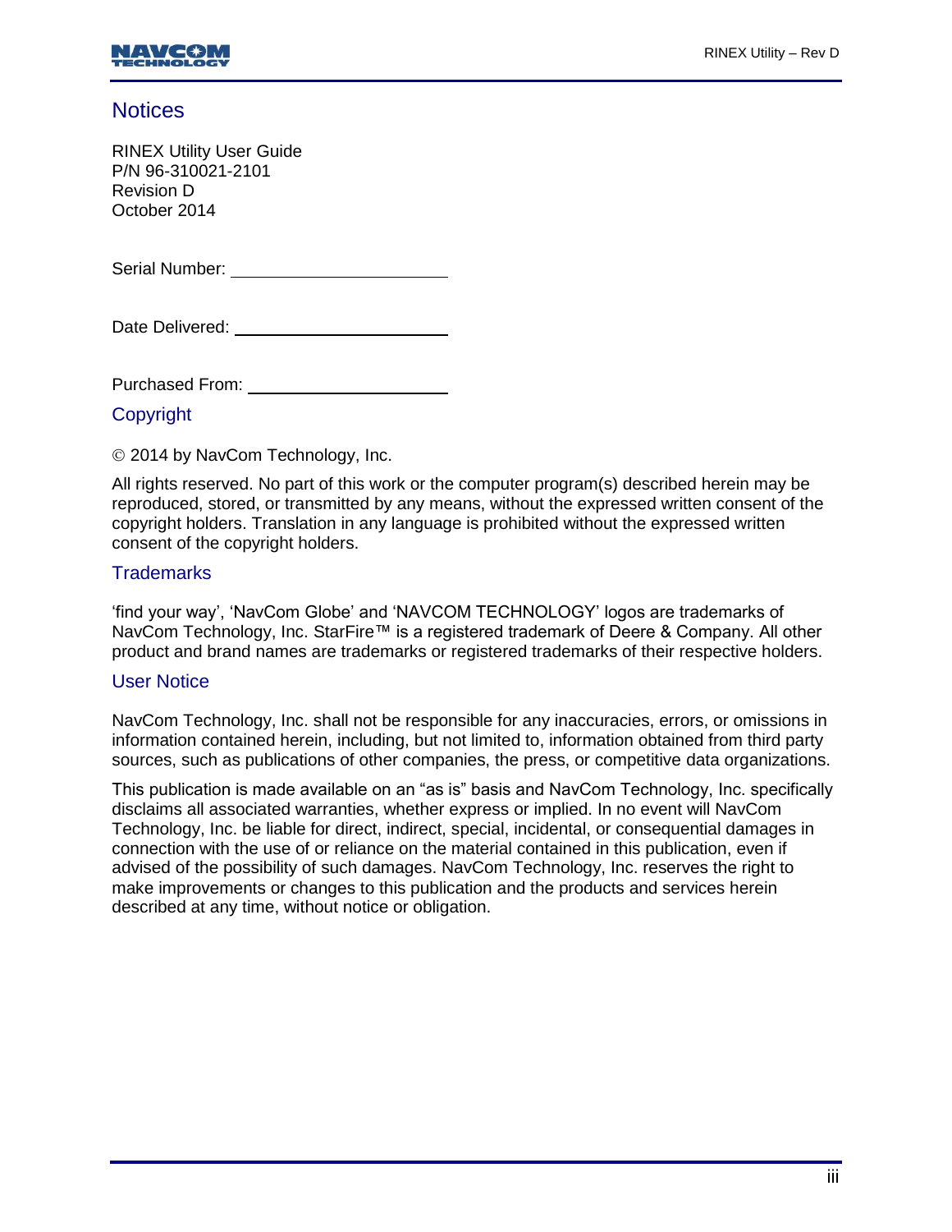

#### <span id="page-3-0"></span>**Notices**

| <b>RINEX Utility User Guide</b> |  |
|---------------------------------|--|
| P/N 96-310021-2101              |  |
| <b>Revision D</b>               |  |
| October 2014                    |  |

Serial Number:

Date Delivered: **Date Delivered:** 

Purchased From:

<span id="page-3-1"></span>Copyright

2014 by NavCom Technology, Inc.

All rights reserved. No part of this work or the computer program(s) described herein may be reproduced, stored, or transmitted by any means, without the expressed written consent of the copyright holders. Translation in any language is prohibited without the expressed written consent of the copyright holders.

#### <span id="page-3-2"></span>**Trademarks**

'find your way', 'NavCom Globe' and 'NAVCOM TECHNOLOGY' logos are trademarks of NavCom Technology, Inc. StarFire™ is a registered trademark of Deere & Company. All other product and brand names are trademarks or registered trademarks of their respective holders.

#### <span id="page-3-3"></span>User Notice

NavCom Technology, Inc. shall not be responsible for any inaccuracies, errors, or omissions in information contained herein, including, but not limited to, information obtained from third party sources, such as publications of other companies, the press, or competitive data organizations.

This publication is made available on an "as is" basis and NavCom Technology, Inc. specifically disclaims all associated warranties, whether express or implied. In no event will NavCom Technology, Inc. be liable for direct, indirect, special, incidental, or consequential damages in connection with the use of or reliance on the material contained in this publication, even if advised of the possibility of such damages. NavCom Technology, Inc. reserves the right to make improvements or changes to this publication and the products and services herein described at any time, without notice or obligation.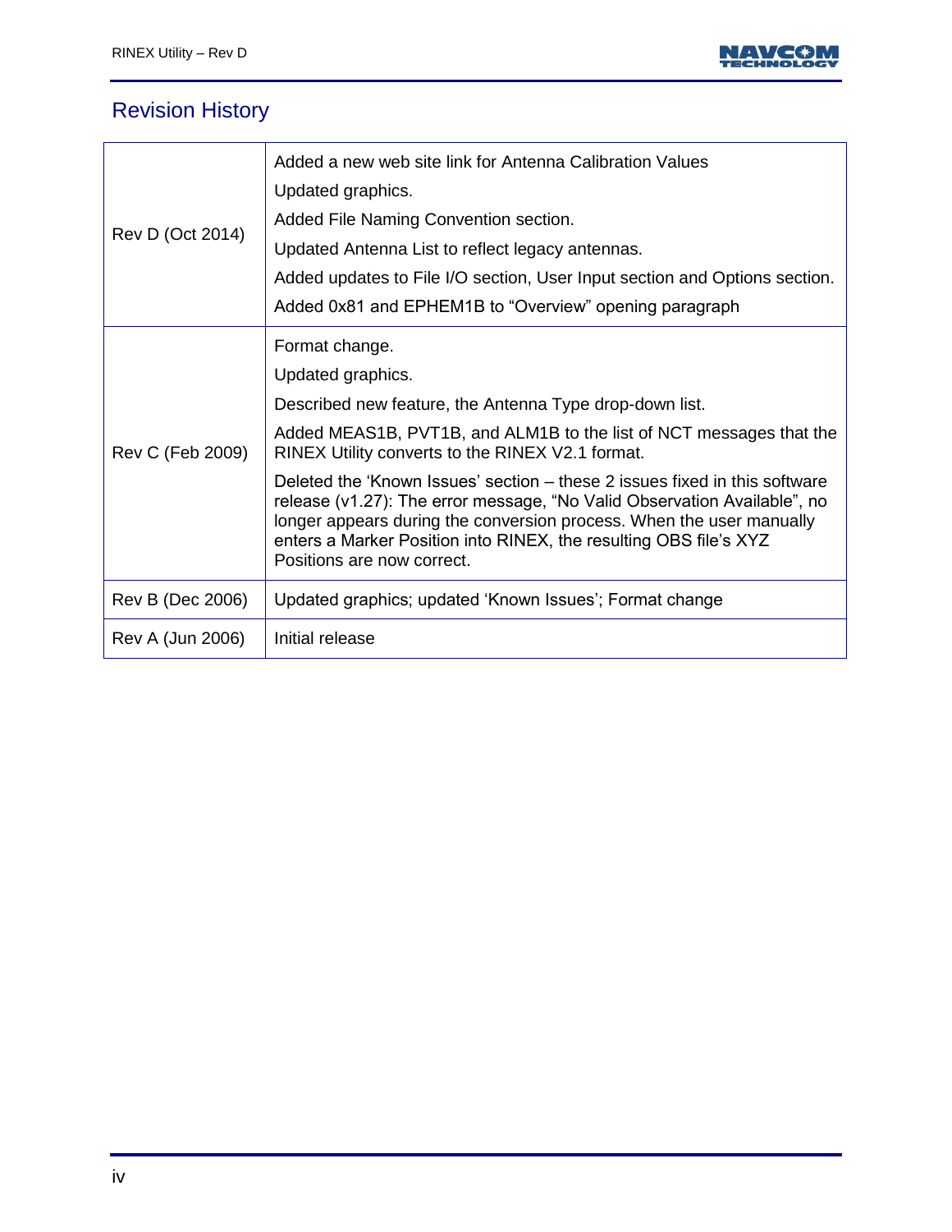

## <span id="page-4-0"></span>Revision History

|                         | Added a new web site link for Antenna Calibration Values                                                                                                                                                                                                                                                                          |
|-------------------------|-----------------------------------------------------------------------------------------------------------------------------------------------------------------------------------------------------------------------------------------------------------------------------------------------------------------------------------|
|                         | Updated graphics.                                                                                                                                                                                                                                                                                                                 |
|                         | Added File Naming Convention section.                                                                                                                                                                                                                                                                                             |
| Rev D (Oct 2014)        | Updated Antenna List to reflect legacy antennas.                                                                                                                                                                                                                                                                                  |
|                         | Added updates to File I/O section, User Input section and Options section.                                                                                                                                                                                                                                                        |
|                         | Added 0x81 and EPHEM1B to "Overview" opening paragraph                                                                                                                                                                                                                                                                            |
|                         | Format change.                                                                                                                                                                                                                                                                                                                    |
| Rev C (Feb 2009)        | Updated graphics.                                                                                                                                                                                                                                                                                                                 |
|                         | Described new feature, the Antenna Type drop-down list.                                                                                                                                                                                                                                                                           |
|                         | Added MEAS1B, PVT1B, and ALM1B to the list of NCT messages that the<br>RINEX Utility converts to the RINEX V2.1 format.                                                                                                                                                                                                           |
|                         | Deleted the 'Known Issues' section – these 2 issues fixed in this software<br>release (v1.27): The error message, "No Valid Observation Available", no<br>longer appears during the conversion process. When the user manually<br>enters a Marker Position into RINEX, the resulting OBS file's XYZ<br>Positions are now correct. |
| <b>Rev B (Dec 2006)</b> | Updated graphics; updated 'Known Issues'; Format change                                                                                                                                                                                                                                                                           |
| <b>Rev A (Jun 2006)</b> | Initial release                                                                                                                                                                                                                                                                                                                   |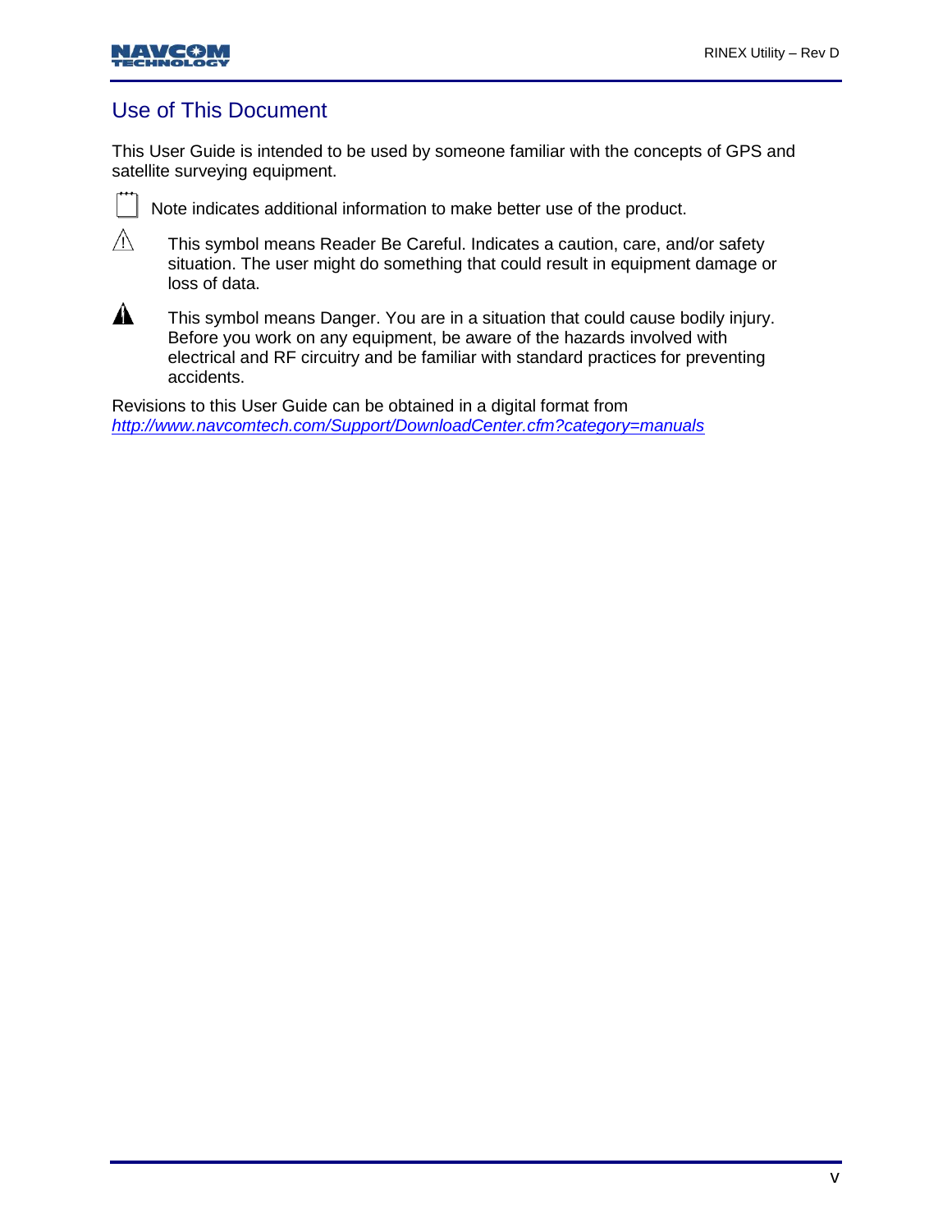

## <span id="page-5-0"></span>Use of This Document

This User Guide is intended to be used by someone familiar with the concepts of GPS and satellite surveying equipment.



Note indicates additional information to make better use of the product.

 $\bigwedge$ 

This symbol means Reader Be Careful. Indicates a caution, care, and/or safety situation. The user might do something that could result in equipment damage or loss of data.

 $\blacktriangle$ 

This symbol means Danger. You are in a situation that could cause bodily injury. Before you work on any equipment, be aware of the hazards involved with electrical and RF circuitry and be familiar with standard practices for preventing accidents.

Revisions to this User Guide can be obtained in a digital format from *<http://www.navcomtech.com/Support/DownloadCenter.cfm?category=manuals>*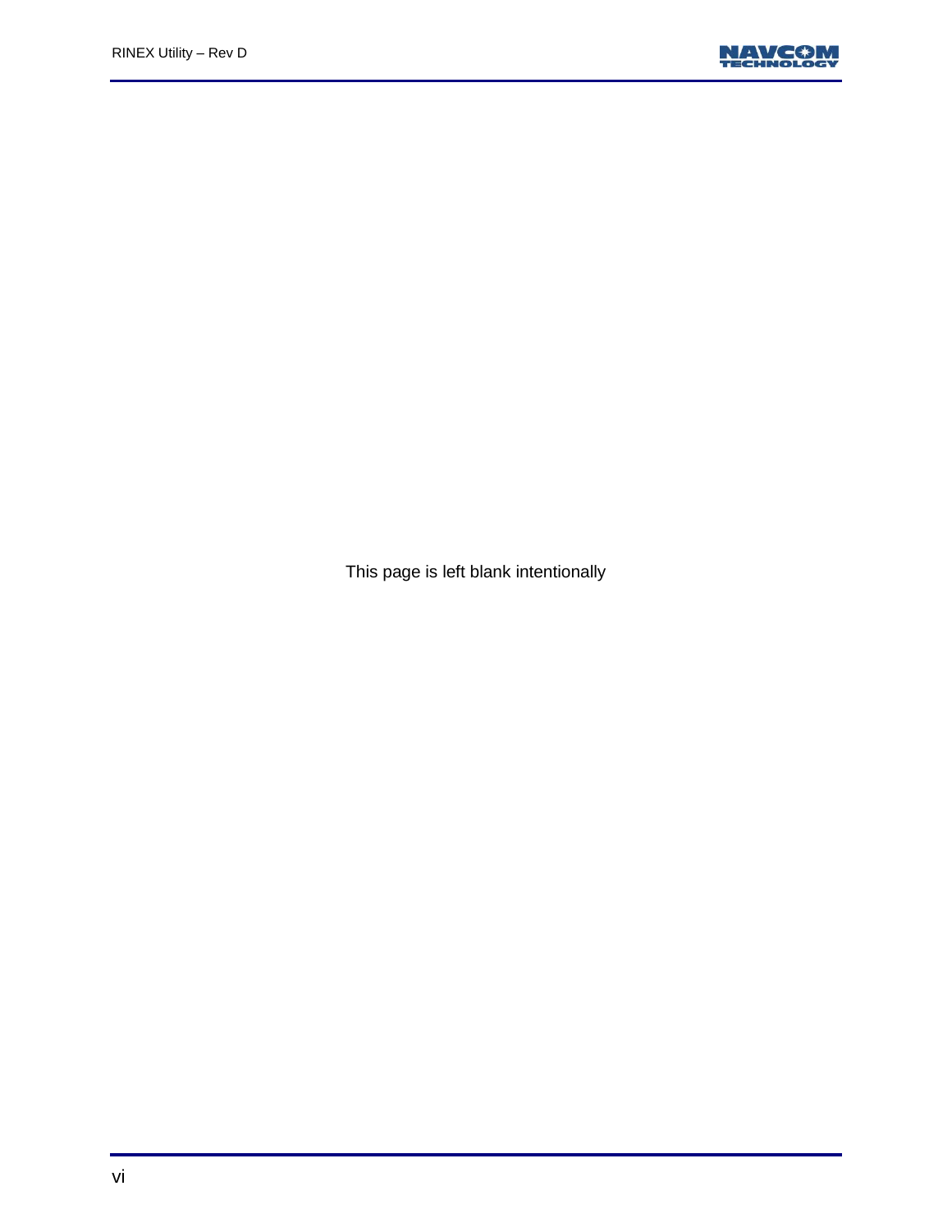

This page is left blank intentionally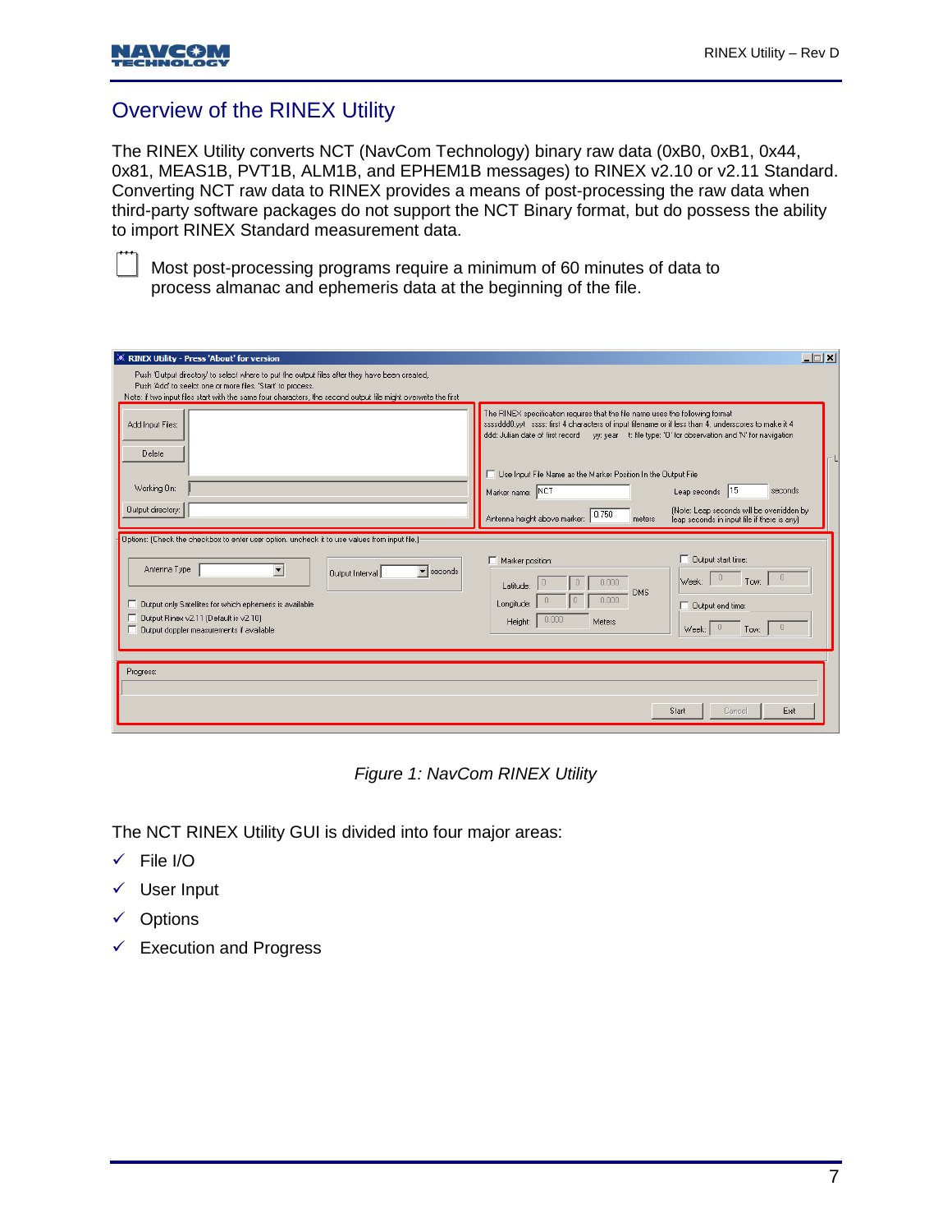## <span id="page-7-0"></span>Overview of the RINEX Utility

The RINEX Utility converts NCT (NavCom Technology) binary raw data (0xB0, 0xB1, 0x44, 0x81, MEAS1B, PVT1B, ALM1B, and EPHEM1B messages) to RINEX v2.10 or v2.11 Standard. Converting NCT raw data to RINEX provides a means of post-processing the raw data when third-party software packages do not support the NCT Binary format, but do possess the ability to import RINEX Standard measurement data.

 Most post-processing programs require a minimum of 60 minutes of data to process almanac and ephemeris data at the beginning of the file.

| <b>RINEX Utility - Press 'About' for version</b><br>Push 'Output directory' to select where to put the output files after they have been created,<br>Push 'Add' to seelct one or more files. 'Start' to process.<br>Note: if two input files start with the same four characters, the second output file might overwrite the first         | $\Box$ o $\Box$                                                                                                                                                                                                                                                                                                                                                                                                  |
|--------------------------------------------------------------------------------------------------------------------------------------------------------------------------------------------------------------------------------------------------------------------------------------------------------------------------------------------|------------------------------------------------------------------------------------------------------------------------------------------------------------------------------------------------------------------------------------------------------------------------------------------------------------------------------------------------------------------------------------------------------------------|
| Add Input Files:<br>Delete<br>Working On:                                                                                                                                                                                                                                                                                                  | The RINEX specification requires that the file name uses the following format<br>ssssddd0.yyt ssss: first 4 characters of input filename or if less than 4, underscores to make it 4<br>ddd: Julian date of first record vv: year t; file type: 'O' for observation and 'N' for navigation<br>□ Use Input File Name as the Marker Position In the Output File<br>Leap seconds  15<br>Marker name: NCT<br>seconds |
| Output directory:<br>Options: (Check the checkbox to enter user option, uncheck it to use values from input file.)<br>Antenna Type<br>$\blacktriangleright$ seconds<br>Output Interval<br>□ Dutput only Satellites for which ephemeris is available<br>□ Output Rinex v2.11 (Default is v2.10)<br>Output doppler measurements if available | (Note: Leap seconds will be overridden by<br>0.750<br>Antenna height above marker:<br>meters<br>leap seconds in input file if there is anyl<br>$\Box$ Output start time:<br>$\Box$ Marker position:<br>- 0<br>Tow:<br>Week:<br>0.000<br>Latitude:<br><b>DMS</b><br>0.000<br>Longitude:<br>$\Box$ Output end time:<br>0.000<br>Height:<br>Meters<br>- 0<br>Week:<br>Tow:                                          |
| Progress:                                                                                                                                                                                                                                                                                                                                  | Exit<br>Cancel<br>Start                                                                                                                                                                                                                                                                                                                                                                                          |

*Figure 1: NavCom RINEX Utility*

<span id="page-7-1"></span>The NCT RINEX Utility GUI is divided into four major areas:

- $\checkmark$  File I/O
- $\checkmark$  User Input
- $\checkmark$  Options
- $\checkmark$  Execution and Progress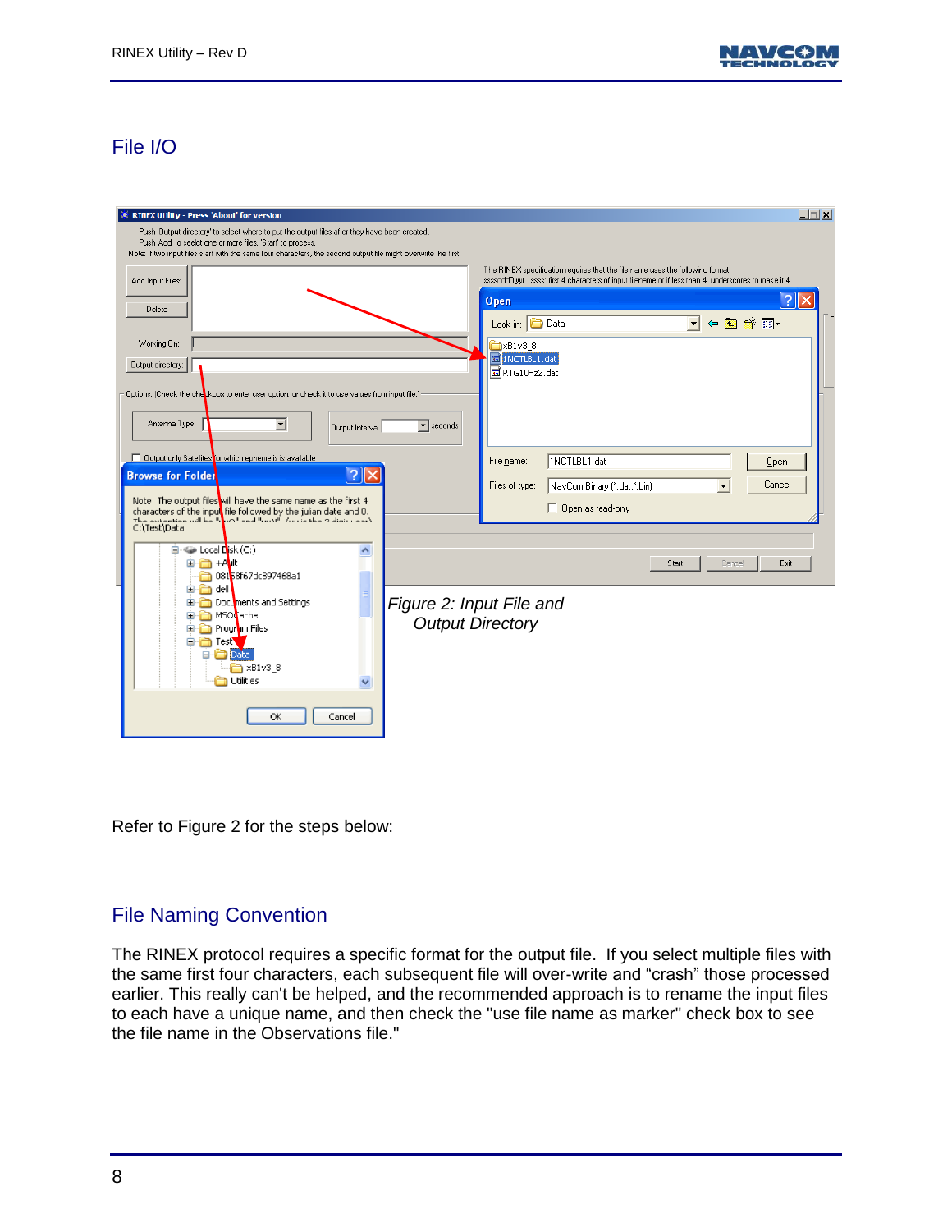

## <span id="page-8-0"></span>File I/O

| <b>RINEX Utility - Press 'About' for version</b>                                                                                                                                                                                                                               | $\Box$ $\Box$ $\times$                                                                                                                                                               |
|--------------------------------------------------------------------------------------------------------------------------------------------------------------------------------------------------------------------------------------------------------------------------------|--------------------------------------------------------------------------------------------------------------------------------------------------------------------------------------|
| Push 'Output directory' to select where to put the output files after they have been created,<br>Push 'Add' to seelct one or more files. 'Start' to process.<br>Note: if two input files start with the same four characters, the second output file might overwrite the first |                                                                                                                                                                                      |
| Add Input Files:                                                                                                                                                                                                                                                               | The RINEX specification requires that the file name uses the following format<br>ssssddd0.yyt ssss: first 4 characters of input filename or if less than 4, underscores to make it 4 |
| Delete                                                                                                                                                                                                                                                                         | $\frac{2}{3}$<br>Open                                                                                                                                                                |
| Working On:                                                                                                                                                                                                                                                                    | ← 自啓 图-<br>$\overline{\phantom{a}}$<br>Look in: Data                                                                                                                                 |
| Output directory:                                                                                                                                                                                                                                                              | <b>a</b> xB1v3_8<br>to 1NCTLBL1.dat<br>RTG10Hz2.dat                                                                                                                                  |
| Options: (Check the checkbox to enter user option, uncheck it to use values from input file.)                                                                                                                                                                                  |                                                                                                                                                                                      |
| Antenna Type<br>$\overline{\phantom{a}}$<br>Output Interval                                                                                                                                                                                                                    | $\blacktriangleright$ seconds                                                                                                                                                        |
|                                                                                                                                                                                                                                                                                |                                                                                                                                                                                      |
| □ Output only Satellites for which ephemeris is available<br>$\frac{2}{3}$<br><b>Browse for Folder</b>                                                                                                                                                                         | File name:<br>1NCTLBL1.dat<br>Open                                                                                                                                                   |
| Note: The output files will have the same name as the first 4                                                                                                                                                                                                                  | Cancel<br>Files of type:<br>NavCom Binary (".dat,".bin)<br>Open as read-only                                                                                                         |
| characters of the input file followed by the julian date and 0.<br>The extention will be "shot" and "with". Currie the 2 digit up at<br>C:\Test\Data                                                                                                                           |                                                                                                                                                                                      |
| $\Box$ $\quad$ Local Disk (C:)<br>$\hat{\phantom{a}}$<br>$\mathbf{E} \cdot \mathbf{E} + \mathbf{A}$ ult                                                                                                                                                                        | Exit<br>Start<br>Cancel                                                                                                                                                              |
| 08168f67dc897468a1<br>⊞ in dell                                                                                                                                                                                                                                                |                                                                                                                                                                                      |
| Documents and Settings<br>Œ<br><b>MSO</b> tache                                                                                                                                                                                                                                | Figure 2: Input File and                                                                                                                                                             |
| Program Files<br>田<br><b>E</b> <del>∩</del> Test                                                                                                                                                                                                                               | <b>Output Directory</b>                                                                                                                                                              |
| <b>El Co</b> Data<br>$\approx$ B1v3_8                                                                                                                                                                                                                                          |                                                                                                                                                                                      |
| Utilities<br>×                                                                                                                                                                                                                                                                 |                                                                                                                                                                                      |
| OK.<br>Cancel                                                                                                                                                                                                                                                                  |                                                                                                                                                                                      |

<span id="page-8-2"></span>Refer to [Figure 2](#page-8-2) for the steps below:

#### <span id="page-8-1"></span>File Naming Convention

The RINEX protocol requires a specific format for the output file. If you select multiple files with the same first four characters, each subsequent file will over-write and "crash" those processed earlier. This really can't be helped, and the recommended approach is to rename the input files to each have a unique name, and then check the "use file name as marker" check box to see the file name in the Observations file."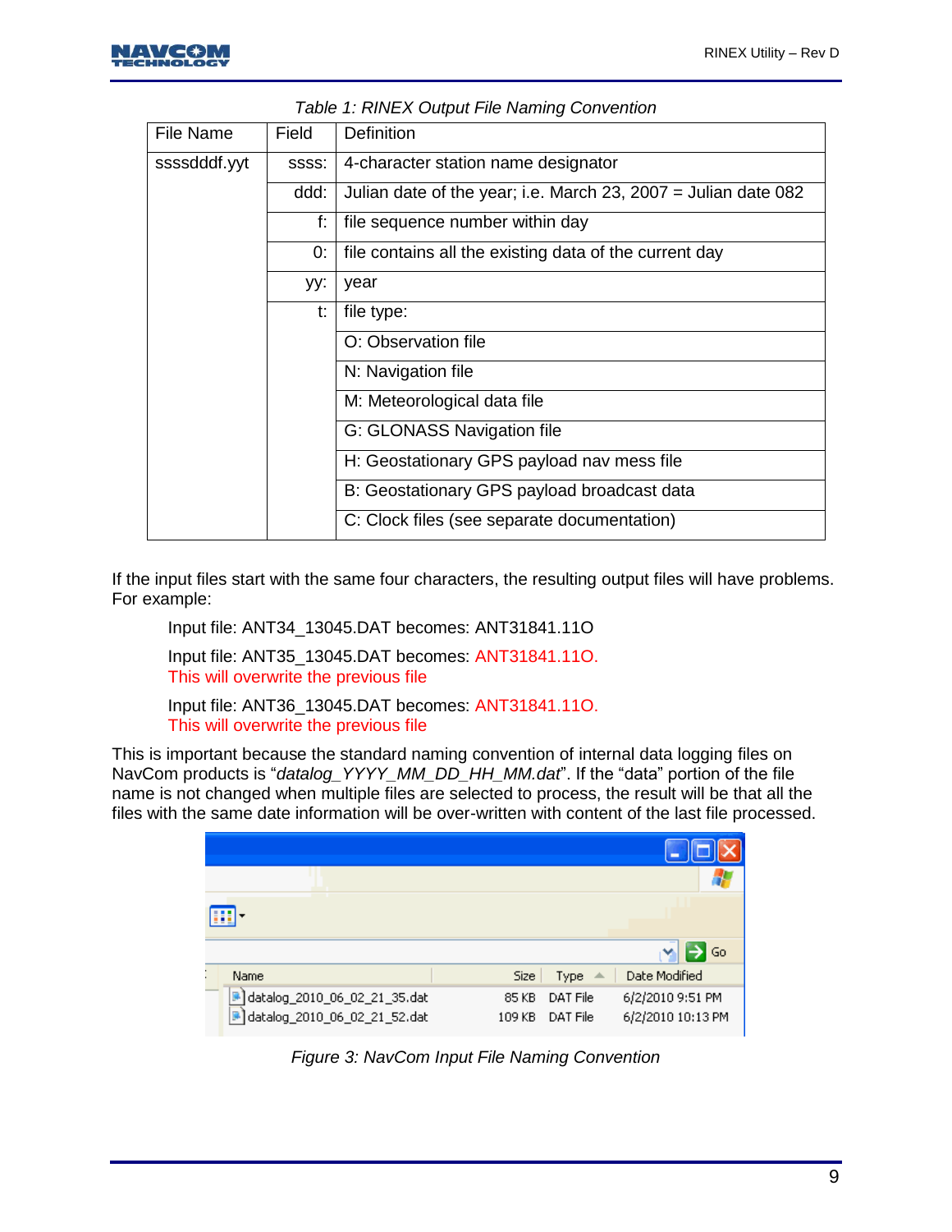<span id="page-9-1"></span>

| File Name    | Field                                                        | <b>Definition</b>                                              |  |  |  |  |
|--------------|--------------------------------------------------------------|----------------------------------------------------------------|--|--|--|--|
| ssssdddf.yyt | SSSS:                                                        | 4-character station name designator                            |  |  |  |  |
|              | ddd:                                                         | Julian date of the year; i.e. March 23, 2007 = Julian date 082 |  |  |  |  |
|              | f:                                                           | file sequence number within day                                |  |  |  |  |
|              | file contains all the existing data of the current day<br>0: |                                                                |  |  |  |  |
|              | year<br>уу:                                                  |                                                                |  |  |  |  |
|              | t:                                                           | file type:                                                     |  |  |  |  |
|              |                                                              | O: Observation file                                            |  |  |  |  |
|              |                                                              | N: Navigation file                                             |  |  |  |  |
|              |                                                              | M: Meteorological data file                                    |  |  |  |  |
|              | G: GLONASS Navigation file                                   |                                                                |  |  |  |  |
|              |                                                              | H: Geostationary GPS payload nav mess file                     |  |  |  |  |
|              |                                                              | B: Geostationary GPS payload broadcast data                    |  |  |  |  |
|              |                                                              | C: Clock files (see separate documentation)                    |  |  |  |  |

*Table 1: RINEX Output File Naming Convention*

If the input files start with the same four characters, the resulting output files will have problems. For example:

Input file: ANT34\_13045.DAT becomes: ANT31841.11O

Input file: ANT35\_13045.DAT becomes: ANT31841.11O. This will overwrite the previous file

Input file: ANT36\_13045.DAT becomes: ANT31841.11O. This will overwrite the previous file

This is important because the standard naming convention of internal data logging files on NavCom products is "*datalog\_YYYY\_MM\_DD\_HH\_MM.dat*". If the "data" portion of the file name is not changed when multiple files are selected to process, the result will be that all the files with the same date information will be over-written with content of the last file processed.

|                                                                               |                 |                      | Go                                    |
|-------------------------------------------------------------------------------|-----------------|----------------------|---------------------------------------|
| Name                                                                          | Size            | Type:                | Date Modified                         |
| <mark>▶</mark> ] datalog_2010_06_02_21_35.dat<br>datalog_2010_06_02_21_52.dat | 85 KB<br>109 KB | DAT File<br>DAT File | 6/2/2010 9:51 PM<br>6/2/2010 10:13 PM |

<span id="page-9-0"></span>*Figure 3: NavCom Input File Naming Convention*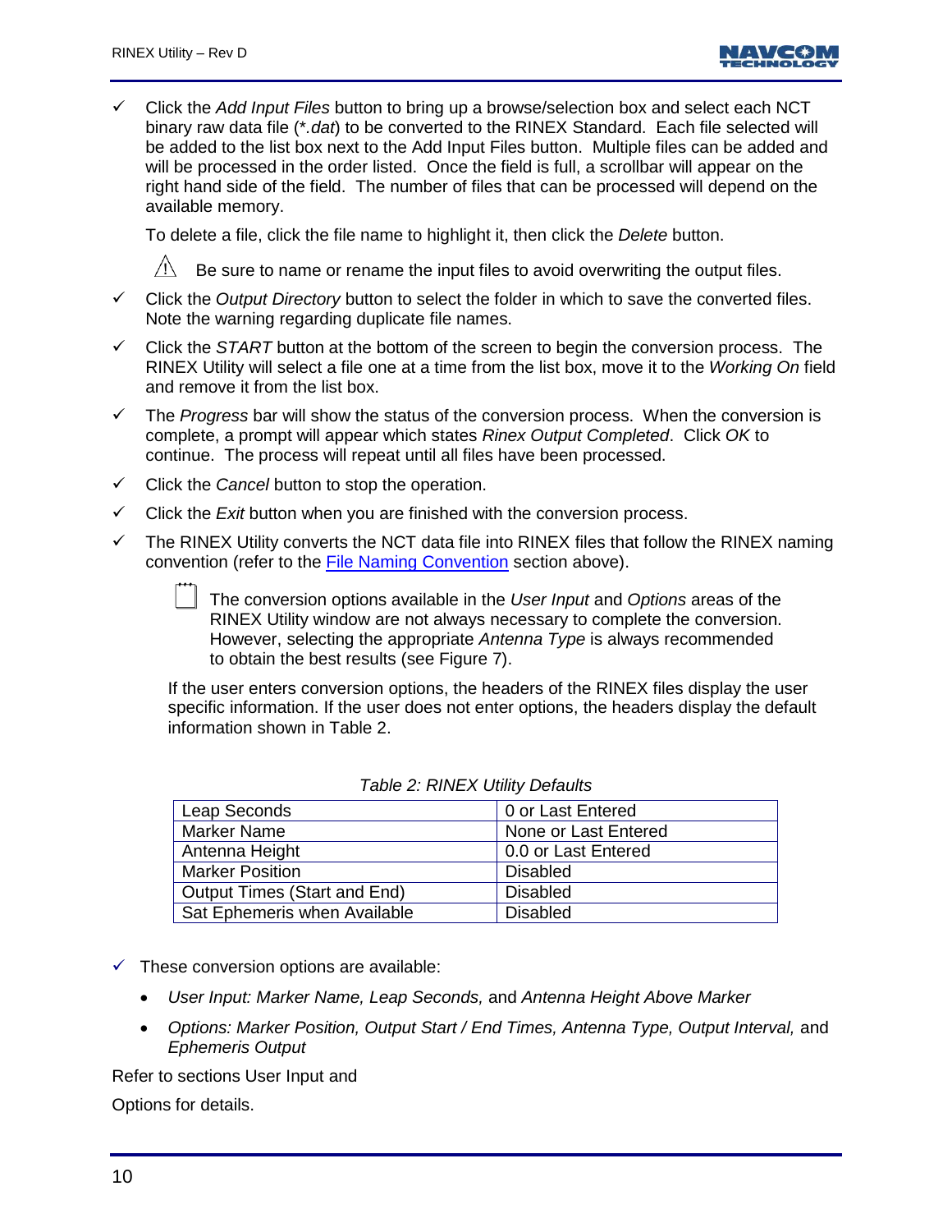Click the *Add Input Files* button to bring up a browse/selection box and select each NCT binary raw data file (\**.dat*) to be converted to the RINEX Standard. Each file selected will be added to the list box next to the Add Input Files button. Multiple files can be added and will be processed in the order listed. Once the field is full, a scrollbar will appear on the right hand side of the field. The number of files that can be processed will depend on the available memory.

To delete a file, click the file name to highlight it, then click the *Delete* button.

 $\sqrt{N}$ Be sure to name or rename the input files to avoid overwriting the output files.

- $\checkmark$  Click the *Output Directory* button to select the folder in which to save the converted files. Note the warning regarding duplicate file names.
- $\checkmark$  Click the *START* button at the bottom of the screen to begin the conversion process. The RINEX Utility will select a file one at a time from the list box, move it to the *Working On* field and remove it from the list box.
- The *Progress* bar will show the status of the conversion process. When the conversion is complete, a prompt will appear which states *Rinex Output Completed*. Click *OK* to continue. The process will repeat until all files have been processed.
- $\checkmark$  Click the *Cancel* button to stop the operation.
- $\checkmark$  Click the *Exit* button when you are finished with the conversion process.
- $\checkmark$  The RINEX Utility converts the NCT data file into RINEX files that follow the RINEX naming convention (refer to the [File Naming Convention](#page-8-1) section above).

 The conversion options available in the *User Input* and *Options* areas of the RINEX Utility window are not always necessary to complete the conversion. However, selecting the appropriate *Antenna Type* is always recommended to obtain the best results (see [Figure 7\)](#page-15-0).

If the user enters conversion options, the headers of the RINEX files display the user specific information. If the user does not enter options, the headers display the default information shown in [Table 2.](#page-10-0)

<span id="page-10-0"></span>

| Leap Seconds                        | 0 or Last Entered    |
|-------------------------------------|----------------------|
| <b>Marker Name</b>                  | None or Last Entered |
| Antenna Height                      | 0.0 or Last Entered  |
| <b>Marker Position</b>              | <b>Disabled</b>      |
| <b>Output Times (Start and End)</b> | <b>Disabled</b>      |
| Sat Ephemeris when Available        | <b>Disabled</b>      |

*Table 2: RINEX Utility Defaults*

- $\checkmark$  These conversion options are available:
	- *User Input: Marker Name, Leap Seconds,* and *Antenna Height Above Marker*
	- *Options: Marker Position, Output Start / End Times, Antenna Type, Output Interval,* and *Ephemeris Output*

Refer to sections [User Input](#page-11-0) and

[Options](#page-11-4) for details.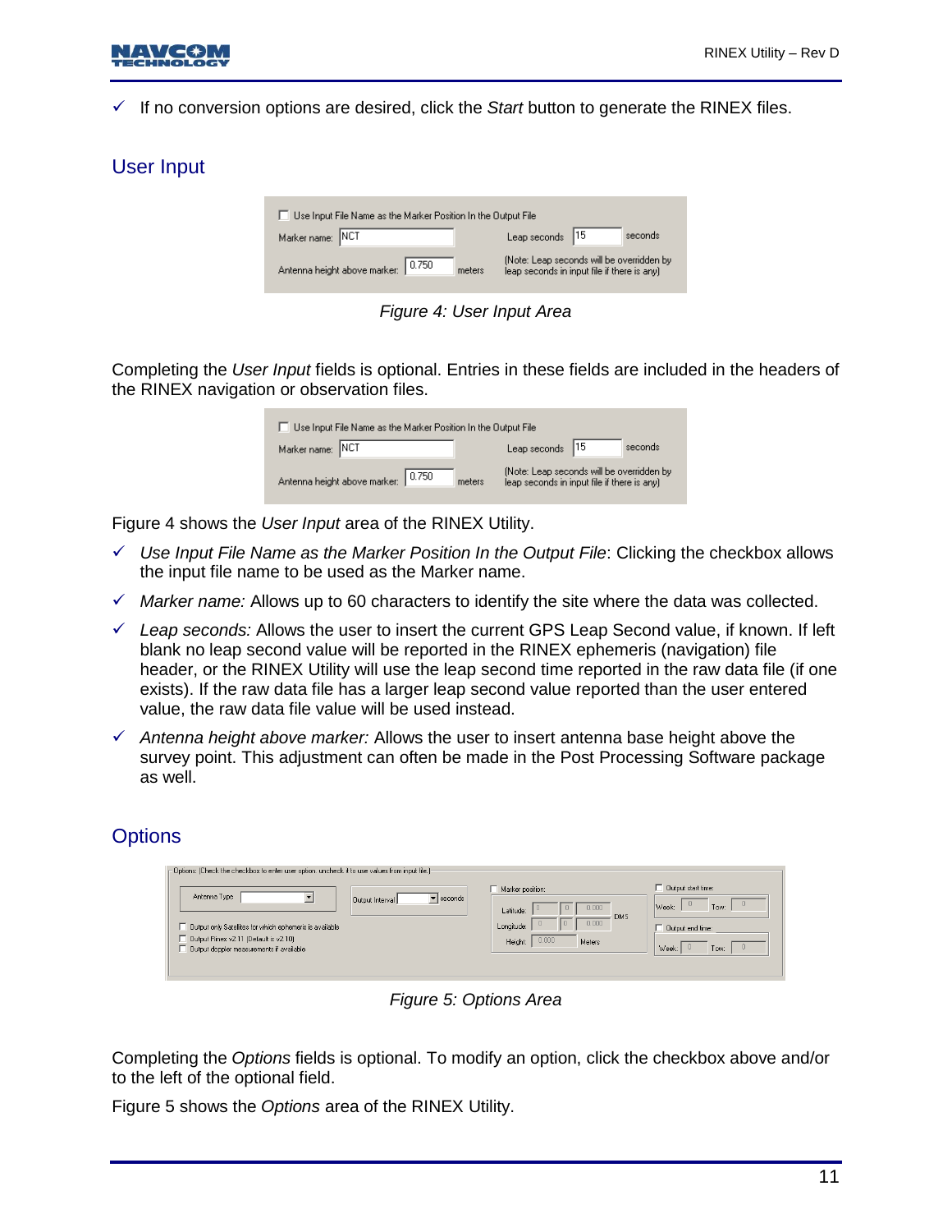

<span id="page-11-0"></span> $\checkmark$  If no conversion options are desired, click the *Start* button to generate the RINEX files.

## <span id="page-11-5"></span>User Input

| Use Input File Name as the Marker Position In the Output File |        |                                                                                          |  |         |  |  |
|---------------------------------------------------------------|--------|------------------------------------------------------------------------------------------|--|---------|--|--|
| Marker name: NCT                                              |        | Leap seconds  15                                                                         |  | seconds |  |  |
| 0.750 <br>Antenna height above marker:                        | meters | (Note: Leap seconds will be overridden by<br>leap seconds in input file if there is anyl |  |         |  |  |

*Figure 4: User Input Area*

<span id="page-11-2"></span>Completing the *User Input* fields is optional. Entries in these fields are included in the headers of the RINEX navigation or observation files.

| Use Input File Name as the Marker Position In the Output File |        |                                                                                          |  |         |  |
|---------------------------------------------------------------|--------|------------------------------------------------------------------------------------------|--|---------|--|
| Marker name: NCT                                              |        | Leap seconds  15                                                                         |  | seconds |  |
| Antenna height above marker: 0.750                            | meters | (Note: Leap seconds will be overridden by<br>leap seconds in input file if there is anyl |  |         |  |

[Figure 4](#page-11-5) shows the *User Input* area of the RINEX Utility.

- *Use Input File Name as the Marker Position In the Output File*: Clicking the checkbox allows the input file name to be used as the Marker name.
- *Marker name:* Allows up to 60 characters to identify the site where the data was collected.
- *Leap seconds:* Allows the user to insert the current GPS Leap Second value, if known. If left blank no leap second value will be reported in the RINEX ephemeris (navigation) file header, or the RINEX Utility will use the leap second time reported in the raw data file (if one exists). If the raw data file has a larger leap second value reported than the user entered value, the raw data file value will be used instead.
- <span id="page-11-4"></span> *Antenna height above marker:* Allows the user to insert antenna base height above the survey point. This adjustment can often be made in the Post Processing Software package as well.

#### <span id="page-11-1"></span>**Options**

| Diplions: (Check the checkbox to enter user option, uncheck it to use values from input file.)-                                                                                                                    |                                                                                                           |                                                                          |
|--------------------------------------------------------------------------------------------------------------------------------------------------------------------------------------------------------------------|-----------------------------------------------------------------------------------------------------------|--------------------------------------------------------------------------|
| Antenna Type<br>$\blacktriangleright$ seconds<br>Output Interval<br>□ Dutput only Satellites for which ephemeris is available<br>Uutput Rinex v2.11 (Default is v2.10)<br>Output doppler measurements if available | Marker position:<br>0.000<br>Latitude:<br><b>DMS</b><br>0.000<br>Longitude:<br>0.000<br>Height:<br>Meters | Output start time:<br>Week:<br>Tow:<br>Output end time:<br>Week:<br>Tow: |

*Figure 5: Options Area*

<span id="page-11-3"></span>Completing the *Options* fields is optional. To modify an option, click the checkbox above and/or to the left of the optional field.

[Figure 5](#page-11-3) shows the *Options* area of the RINEX Utility.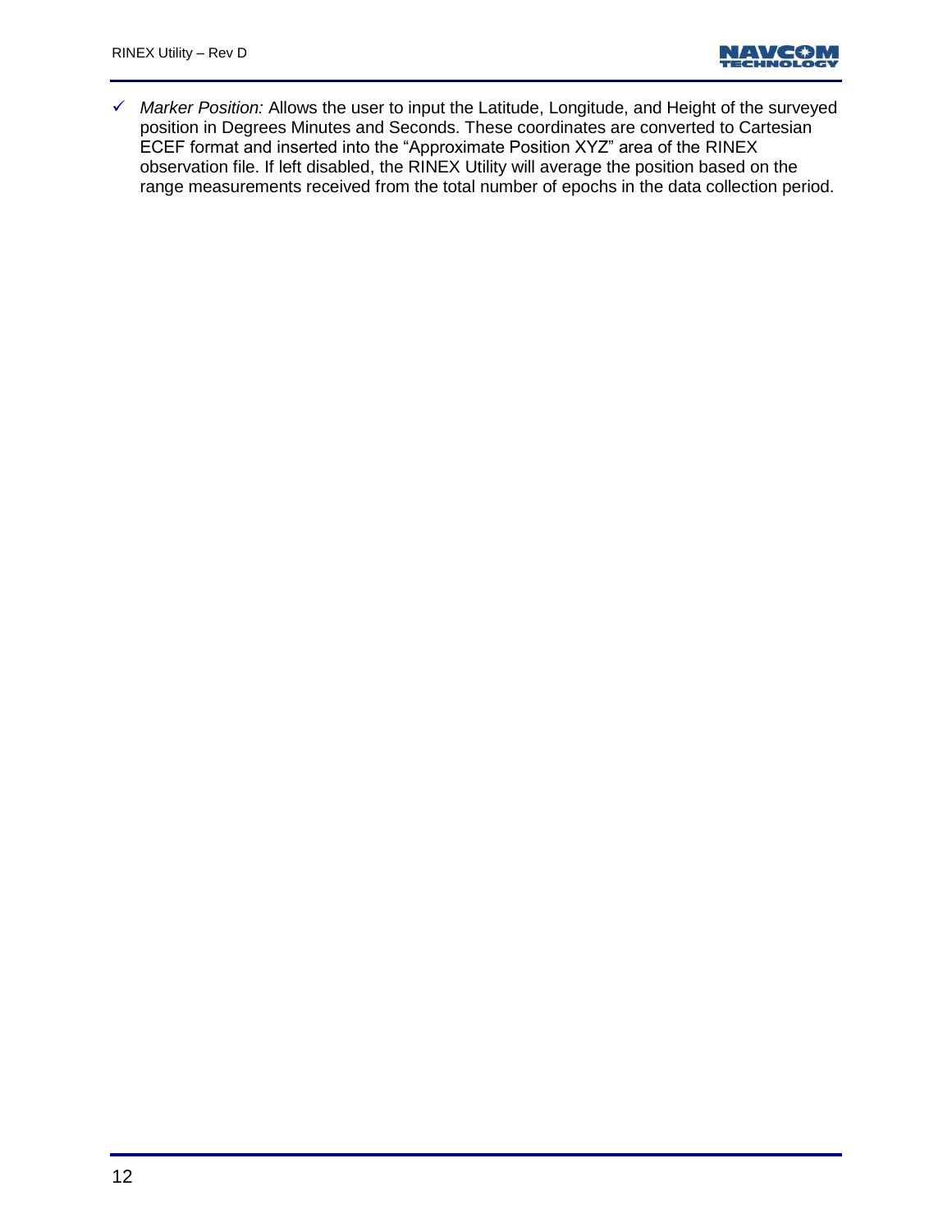*Marker Position:* Allows the user to input the Latitude, Longitude, and Height of the surveyed position in Degrees Minutes and Seconds. These coordinates are converted to Cartesian ECEF format and inserted into the "Approximate Position XYZ" area of the RINEX observation file. If left disabled, the RINEX Utility will average the position based on the range measurements received from the total number of epochs in the data collection period.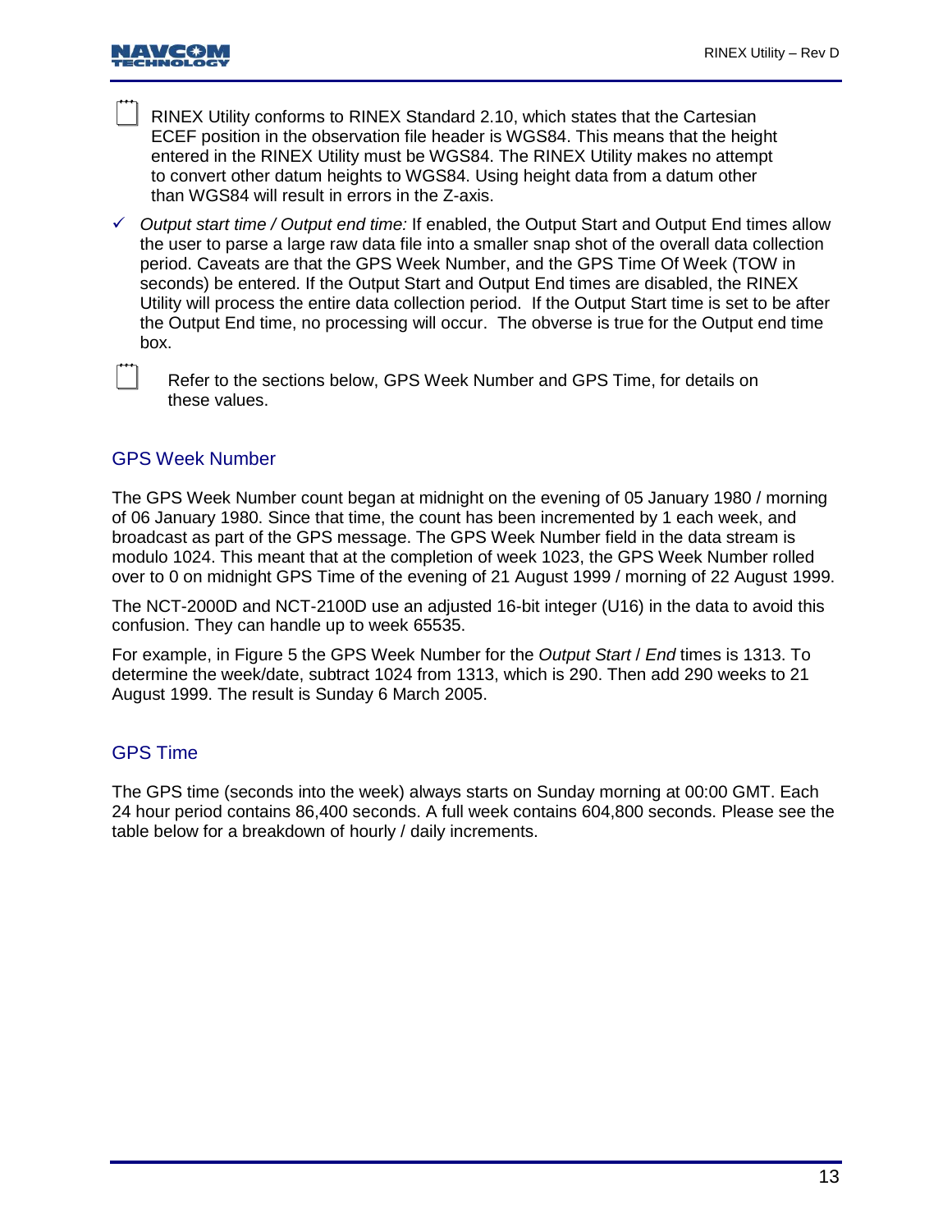

 RINEX Utility conforms to RINEX Standard 2.10, which states that the Cartesian ECEF position in the observation file header is WGS84. This means that the height entered in the RINEX Utility must be WGS84. The RINEX Utility makes no attempt to convert other datum heights to WGS84. Using height data from a datum other than WGS84 will result in errors in the Z-axis.

 *Output start time / Output end time:* If enabled, the Output Start and Output End times allow the user to parse a large raw data file into a smaller snap shot of the overall data collection period. Caveats are that the GPS Week Number, and the GPS Time Of Week (TOW in seconds) be entered. If the Output Start and Output End times are disabled, the RINEX Utility will process the entire data collection period. If the Output Start time is set to be after the Output End time, no processing will occur. The obverse is true for the Output end time box.

 Refer to the sections below, [GPS Week Number](#page-13-0) and [GPS Time,](#page-13-1) for details on these values.

#### <span id="page-13-0"></span>GPS Week Number

The GPS Week Number count began at midnight on the evening of 05 January 1980 / morning of 06 January 1980. Since that time, the count has been incremented by 1 each week, and broadcast as part of the GPS message. The GPS Week Number field in the data stream is modulo 1024. This meant that at the completion of week 1023, the GPS Week Number rolled over to 0 on midnight GPS Time of the evening of 21 August 1999 / morning of 22 August 1999.

The NCT-2000D and NCT-2100D use an adjusted 16-bit integer (U16) in the data to avoid this confusion. They can handle up to week 65535.

For example, in [Figure 5](#page-11-3) the GPS Week Number for the *Output Start* / *End* times is 1313. To determine the week/date, subtract 1024 from 1313, which is 290. Then add 290 weeks to 21 August 1999. The result is Sunday 6 March 2005.

#### <span id="page-13-1"></span>GPS Time

The GPS time (seconds into the week) always starts on Sunday morning at 00:00 GMT. Each 24 hour period contains 86,400 seconds. A full week contains 604,800 seconds. Please see the table below for a breakdown of hourly / daily increments.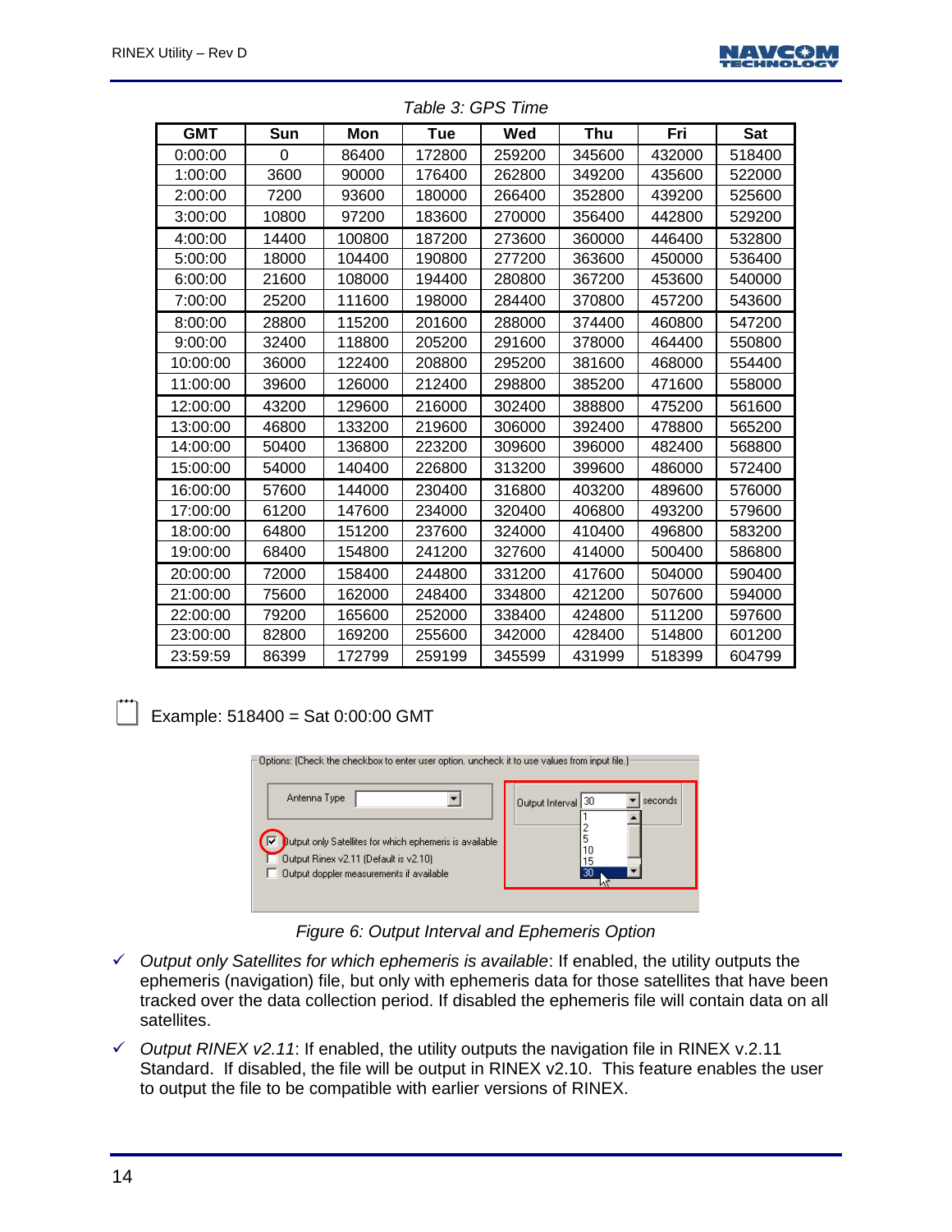

<span id="page-14-1"></span>

| <b>GMT</b> | Sun   | Mon    | Tue    | Wed    | Thu    | Fri    | Sat    |
|------------|-------|--------|--------|--------|--------|--------|--------|
| 0:00:00    | 0     | 86400  | 172800 | 259200 | 345600 | 432000 | 518400 |
| 1:00:00    | 3600  | 90000  | 176400 | 262800 | 349200 | 435600 | 522000 |
| 2:00:00    | 7200  | 93600  | 180000 | 266400 | 352800 | 439200 | 525600 |
| 3:00:00    | 10800 | 97200  | 183600 | 270000 | 356400 | 442800 | 529200 |
| 4:00:00    | 14400 | 100800 | 187200 | 273600 | 360000 | 446400 | 532800 |
| 5:00:00    | 18000 | 104400 | 190800 | 277200 | 363600 | 450000 | 536400 |
| 6:00:00    | 21600 | 108000 | 194400 | 280800 | 367200 | 453600 | 540000 |
| 7:00:00    | 25200 | 111600 | 198000 | 284400 | 370800 | 457200 | 543600 |
| 8:00:00    | 28800 | 115200 | 201600 | 288000 | 374400 | 460800 | 547200 |
| 9:00:00    | 32400 | 118800 | 205200 | 291600 | 378000 | 464400 | 550800 |
| 10:00:00   | 36000 | 122400 | 208800 | 295200 | 381600 | 468000 | 554400 |
| 11:00:00   | 39600 | 126000 | 212400 | 298800 | 385200 | 471600 | 558000 |
| 12:00:00   | 43200 | 129600 | 216000 | 302400 | 388800 | 475200 | 561600 |
| 13:00:00   | 46800 | 133200 | 219600 | 306000 | 392400 | 478800 | 565200 |
| 14:00:00   | 50400 | 136800 | 223200 | 309600 | 396000 | 482400 | 568800 |
| 15:00:00   | 54000 | 140400 | 226800 | 313200 | 399600 | 486000 | 572400 |
| 16:00:00   | 57600 | 144000 | 230400 | 316800 | 403200 | 489600 | 576000 |
| 17:00:00   | 61200 | 147600 | 234000 | 320400 | 406800 | 493200 | 579600 |
| 18:00:00   | 64800 | 151200 | 237600 | 324000 | 410400 | 496800 | 583200 |
| 19:00:00   | 68400 | 154800 | 241200 | 327600 | 414000 | 500400 | 586800 |
| 20:00:00   | 72000 | 158400 | 244800 | 331200 | 417600 | 504000 | 590400 |
| 21:00:00   | 75600 | 162000 | 248400 | 334800 | 421200 | 507600 | 594000 |
| 22:00:00   | 79200 | 165600 | 252000 | 338400 | 424800 | 511200 | 597600 |
| 23:00:00   | 82800 | 169200 | 255600 | 342000 | 428400 | 514800 | 601200 |
| 23:59:59   | 86399 | 172799 | 259199 | 345599 | 431999 | 518399 | 604799 |

Table 3: GPS Time

### Example: 518400 = Sat 0:00:00 GMT



Figure 6: Output Interval and Ephemeris Option

- <span id="page-14-0"></span> $\checkmark$  Output only Satellites for which ephemeris is available: If enabled, the utility outputs the ephemeris (navigation) file, but only with ephemeris data for those satellites that have been tracked over the data collection period. If disabled the ephemeris file will contain data on all satellites.
- $\checkmark$  Output RINEX v2.11: If enabled, the utility outputs the navigation file in RINEX v.2.11 Standard. If disabled, the file will be output in RINEX v2.10. This feature enables the user to output the file to be compatible with earlier versions of RINEX.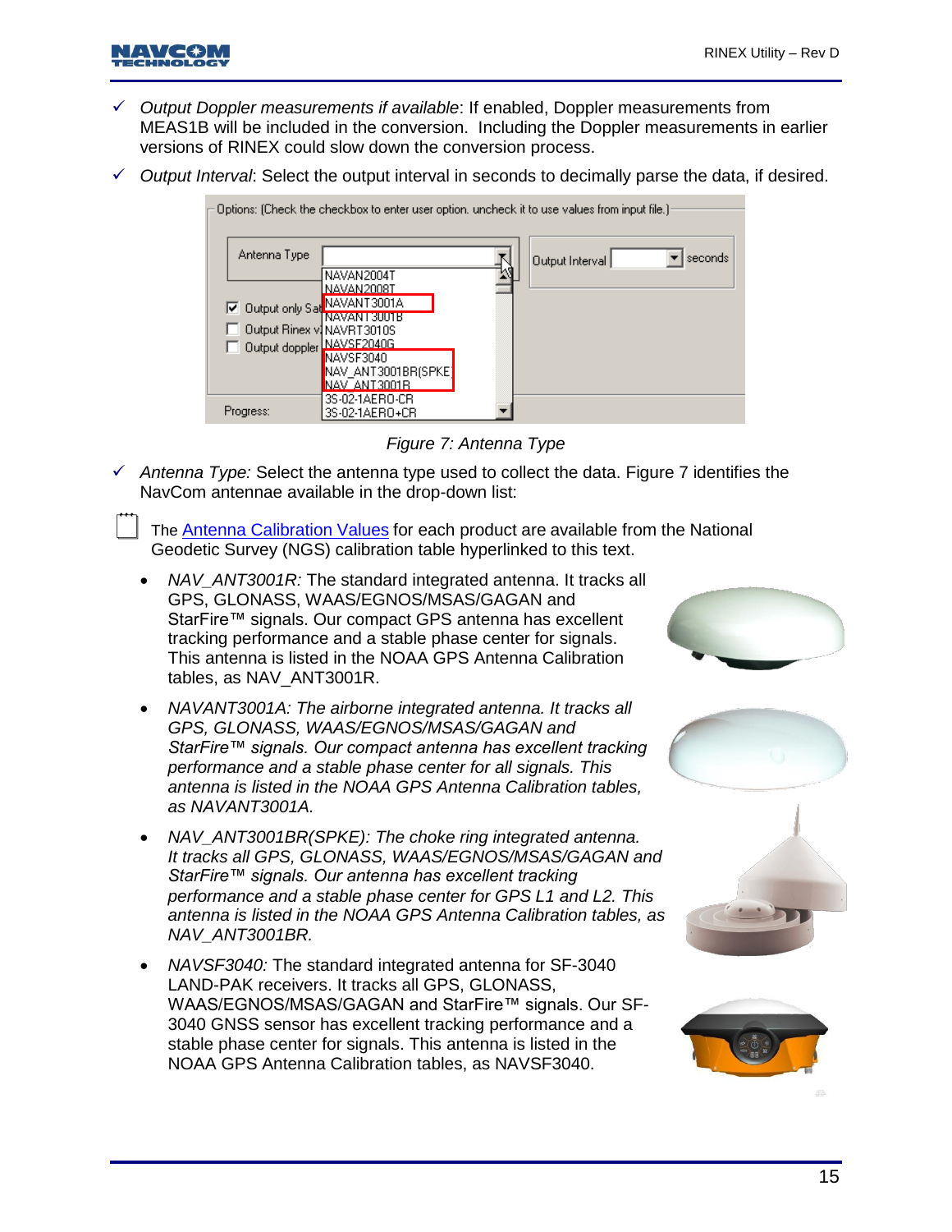

- *Output Doppler measurements if available*: If enabled, Doppler measurements from MEAS1B will be included in the conversion. Including the Doppler measurements in earlier versions of RINEX could slow down the conversion process.
- *Output Interval*: Select the output interval in seconds to decimally parse the data, if desired.

| Antenna Type                                                                             |                                                                                              | [[ Options: [Check the checkbox to enter user option, uncheck it to use values from input file.]<br>seconds<br>Output Interval |
|------------------------------------------------------------------------------------------|----------------------------------------------------------------------------------------------|--------------------------------------------------------------------------------------------------------------------------------|
| V Dutput only Sat NAVANT3001A<br>Output Rinex v] NAVRT3010S<br>Output doppler NAVSF2040G | NAVAN2004T<br>NAVAN2008T<br>NAVANT 3001B<br>NAVSF3040<br>NAV ANT3001BR(SPKE)<br>NAV ANT3001B |                                                                                                                                |
| Progress:                                                                                | 3S-02-1AERO-CR<br>3S-02-1AERO+CR                                                             |                                                                                                                                |

*Figure 7: Antenna Type*

- <span id="page-15-0"></span> $\checkmark$  Antenna Type: Select the antenna type used to collect the data. [Figure 7](#page-15-0) identifies the NavCom antennae available in the drop-down list:
- The [Antenna Calibration Values](http://www.ngs.noaa.gov/ANTCAL/Antennas.jsp;jsessionid=3DE81666766F189AFA9D57D343082098?manu=NavCom) for each product are available from the National Geodetic Survey (NGS) calibration table hyperlinked to this text.
	- *NAV\_ANT3001R:* The standard integrated antenna. It tracks all GPS, GLONASS, WAAS/EGNOS/MSAS/GAGAN and StarFire™ signals. Our compact GPS antenna has excellent tracking performance and a stable phase center for signals. This antenna is listed in the NOAA GPS Antenna Calibration tables, as NAV\_ANT3001R.
	- *NAVANT3001A: The airborne integrated antenna. It tracks all GPS, GLONASS, WAAS/EGNOS/MSAS/GAGAN and StarFire™ signals. Our compact antenna has excellent tracking performance and a stable phase center for all signals. This antenna is listed in the NOAA GPS Antenna Calibration tables, as NAVANT3001A.*
	- *NAV\_ANT3001BR(SPKE): The choke ring integrated antenna. It tracks all GPS, GLONASS, WAAS/EGNOS/MSAS/GAGAN and StarFire™ signals. Our antenna has excellent tracking performance and a stable phase center for GPS L1 and L2. This antenna is listed in the NOAA GPS Antenna Calibration tables, as NAV\_ANT3001BR.*
	- *NAVSF3040:* The standard integrated antenna for SF-3040 LAND-PAK receivers. It tracks all GPS, GLONASS, WAAS/EGNOS/MSAS/GAGAN and StarFire™ signals. Our SF-3040 GNSS sensor has excellent tracking performance and a stable phase center for signals. This antenna is listed in the NOAA GPS Antenna Calibration tables, as NAVSF3040.